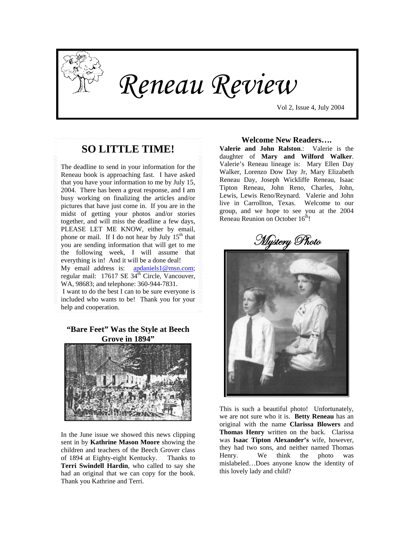

# *Reneau Review*

Vol 2, Issue 4, July 2004

# **SO LITTLE TIME!**

The deadline to send in your information for the Reneau book is approaching fast. I have asked that you have your information to me by July 15, 2004. There has been a great response, and I am busy working on finalizing the articles and/or pictures that have just come in. If you are in the midst of getting your photos and/or stories together, and will miss the deadline a few days, PLEASE LET ME KNOW, either by email, phone or mail. If I do not hear by July  $15<sup>th</sup>$  that you are sending information that will get to me the following week, I will assume that everything is in! And it will be a done deal! My email address is: [apdaniels1@msn.com](mailto:apdaniels1@msn.com); regular mail:  $17617$  SE  $34<sup>th</sup>$  Circle, Vancouver, WA, 98683; and telephone: 360-944-7831. I want to do the best I can to be sure everyone is included who wants to be! Thank you for your

help and cooperation.

# **"Bare Feet" Was the Style at Beech Grove in 1894"**



In the June issue we showed this news clipping sent in by **Kathrine Mason Moore** showing the children and teachers of the Beech Grover class of 1894 at Eighty-eight Kentucky. Thanks to **Terri Swindell Hardin**, who called to say she had an original that we can copy for the book. Thank you Kathrine and Terri.

#### **Welcome New Readers….**

**Valerie and John Ralston**.: Valerie is the daughter of **Mary and Wilford Walker**. Valerie's Reneau lineage is: Mary Ellen Day Walker, Lorenzo Dow Day Jr, Mary Elizabeth Reneau Day, Joseph Wickliffe Reneau, Isaac Tipton Reneau, John Reno, Charles, John, Lewis, Lewis Reno/Reynard. Valerie and John live in Carrollton, Texas. Welcome to our group, and we hope to see you at the 2004 Reneau Reunion on October 16<sup>th</sup>!

Mystery Photo



This is such a beautiful photo! Unfortunately, we are not sure who it is. **Betty Reneau** has an original with the name **Clarissa Blowers** and **Thomas Henry** written on the back. Clarissa was **Isaac Tipton Alexander's** wife, however, they had two sons, and neither named Thomas Henry. We think the photo was mislabeled…Does anyone know the identity of this lovely lady and child?